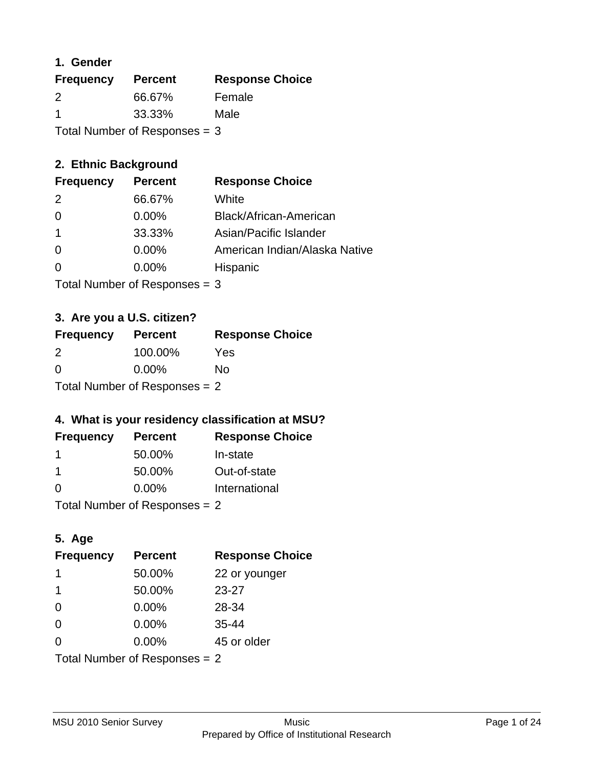## **1. Gender**

| <b>Frequency</b>                | <b>Percent</b> | <b>Response Choice</b> |
|---------------------------------|----------------|------------------------|
| 2                               | 66.67%         | Female                 |
| $\blacktriangleleft$            | 33.33%         | Male                   |
| Total Number of Responses = $3$ |                |                        |

## **2. Ethnic Background**

| <b>Frequency</b> | <b>Percent</b> | <b>Response Choice</b>        |
|------------------|----------------|-------------------------------|
| $\mathcal{P}$    | 66.67%         | White                         |
| $\Omega$         | $0.00\%$       | Black/African-American        |
|                  | 33.33%         | Asian/Pacific Islander        |
| $\Omega$         | 0.00%          | American Indian/Alaska Native |
|                  | $0.00\%$       | Hispanic                      |
|                  |                |                               |

Total Number of Responses = 3

## **3. Are you a U.S. citizen?**

| <b>Frequency</b> | <b>Percent</b>                  | <b>Response Choice</b> |
|------------------|---------------------------------|------------------------|
| $\mathcal{P}$    | 100.00%                         | Yes                    |
| $\Omega$         | $0.00\%$                        | Nο                     |
|                  | Total Number of Responses $= 2$ |                        |

## **4. What is your residency classification at MSU?**

| <b>Frequency</b> | <b>Percent</b> | <b>Response Choice</b> |
|------------------|----------------|------------------------|
|                  | 50.00%         | In-state               |
|                  | 50.00%         | Out-of-state           |
| $\Omega$         | 0.00%          | International          |
|                  |                |                        |

Total Number of Responses = 2

## **5. Age**

| <b>Frequency</b>                | <b>Percent</b> | <b>Response Choice</b> |
|---------------------------------|----------------|------------------------|
|                                 | 50.00%         | 22 or younger          |
| -1                              | 50.00%         | $23 - 27$              |
| $\Omega$                        | 0.00%          | 28-34                  |
| $\Omega$                        | 0.00%          | $35 - 44$              |
| $\Omega$                        | $0.00\%$       | 45 or older            |
| Total Number of Responses = $2$ |                |                        |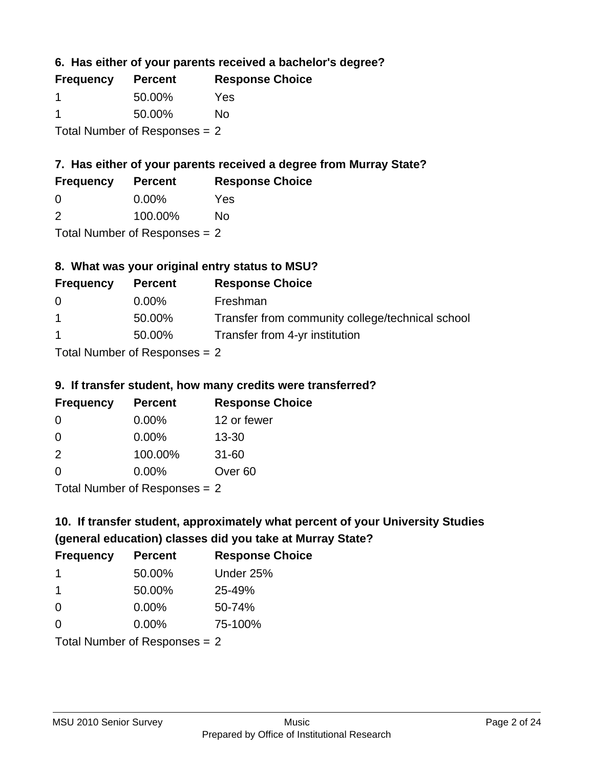**6. Has either of your parents received a bachelor's degree?**

| <b>Frequency</b>                | <b>Percent</b> | <b>Response Choice</b> |
|---------------------------------|----------------|------------------------|
|                                 | 50.00%         | Yes                    |
|                                 | 50.00%         | No                     |
| Total Number of Responses $= 2$ |                |                        |

# **7. Has either of your parents received a degree from Murray State?**

| <b>Frequency</b> | <b>Percent</b> | <b>Response Choice</b> |
|------------------|----------------|------------------------|
| <u>ึ</u> ೧       | $0.00\%$       | Yes                    |

| $\overline{2}$ | 100.00% | <b>No</b> |
|----------------|---------|-----------|
|                |         |           |

Total Number of Responses = 2

## **8. What was your original entry status to MSU?**

| <b>Frequency</b> | <b>Percent</b>                       | <b>Response Choice</b>                           |
|------------------|--------------------------------------|--------------------------------------------------|
| $\Omega$         | $0.00\%$                             | Freshman                                         |
| $\overline{1}$   | 50.00%                               | Transfer from community college/technical school |
| $\overline{1}$   | 50.00%                               | Transfer from 4-yr institution                   |
|                  | $Total$ Number of Despanses $\Omega$ |                                                  |

Total Number of Responses = 2

### **9. If transfer student, how many credits were transferred?**

| <b>Frequency</b>                 | <b>Percent</b> | <b>Response Choice</b> |
|----------------------------------|----------------|------------------------|
| -0                               | $0.00\%$       | 12 or fewer            |
| $\Omega$                         | $0.00\%$       | $13 - 30$              |
| $\mathcal{P}$                    | 100.00%        | $31 - 60$              |
| $\Omega$                         | $0.00\%$       | Over <sub>60</sub>     |
| $Total Number of Denonce \sim 2$ |                |                        |

Total Number of Responses = 2

# **10. If transfer student, approximately what percent of your University Studies (general education) classes did you take at Murray State?**

| <b>Frequency</b>                | <b>Percent</b> | <b>Response Choice</b> |
|---------------------------------|----------------|------------------------|
| $\mathbf 1$                     | 50.00%         | Under 25%              |
| $\mathbf 1$                     | 50.00%         | 25-49%                 |
| $\Omega$                        | 0.00%          | 50-74%                 |
| $\Omega$                        | 0.00%          | 75-100%                |
| Total Number of Responses $= 2$ |                |                        |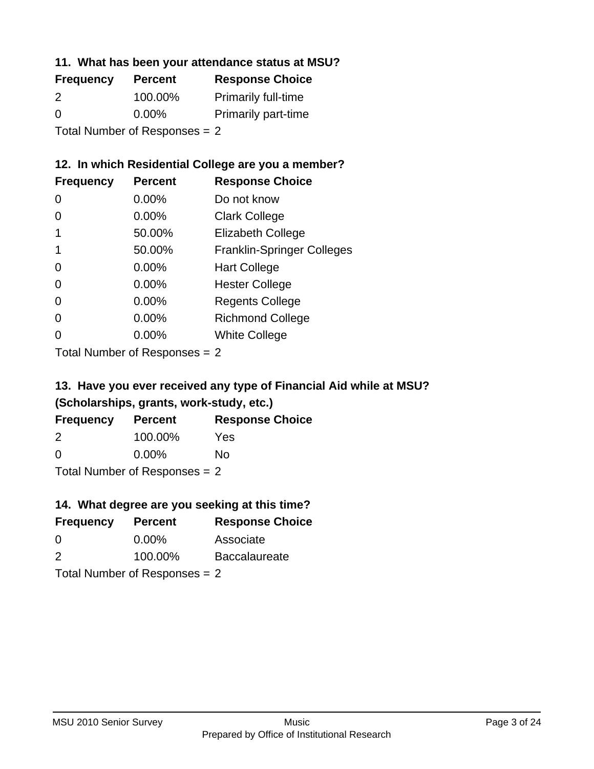### **11. What has been your attendance status at MSU?**

| <b>Frequency</b> | <b>Percent</b>                | <b>Response Choice</b>     |
|------------------|-------------------------------|----------------------------|
| 2                | 100.00%                       | <b>Primarily full-time</b> |
| $\Omega$         | $0.00\%$                      | <b>Primarily part-time</b> |
|                  | Total Number of Responses = 2 |                            |

**12. In which Residential College are you a member?**

| <b>Frequency</b> | <b>Percent</b> | <b>Response Choice</b>            |
|------------------|----------------|-----------------------------------|
| 0                | 0.00%          | Do not know                       |
| 0                | 0.00%          | <b>Clark College</b>              |
| 1                | 50.00%         | <b>Elizabeth College</b>          |
| 1                | 50.00%         | <b>Franklin-Springer Colleges</b> |
| 0                | 0.00%          | <b>Hart College</b>               |
| 0                | 0.00%          | <b>Hester College</b>             |
| $\overline{0}$   | 0.00%          | <b>Regents College</b>            |
| 0                | 0.00%          | <b>Richmond College</b>           |
| 0                | 0.00%          | <b>White College</b>              |
|                  |                |                                   |

Total Number of Responses = 2

## **13. Have you ever received any type of Financial Aid while at MSU? (Scholarships, grants, work-study, etc.)**

| <b>Frequency</b>                | <b>Percent</b> | <b>Response Choice</b> |
|---------------------------------|----------------|------------------------|
| 2                               | 100.00%        | Yes                    |
| $\Omega$                        | $0.00\%$       | Nο                     |
| Total Number of Responses $= 2$ |                |                        |

**14. What degree are you seeking at this time?**

| <b>Frequency</b> | <b>Percent</b>                  | <b>Response Choice</b> |
|------------------|---------------------------------|------------------------|
| 0                | $0.00\%$                        | Associate              |
| 2                | 100.00%                         | <b>Baccalaureate</b>   |
|                  | Total Number of Responses = $2$ |                        |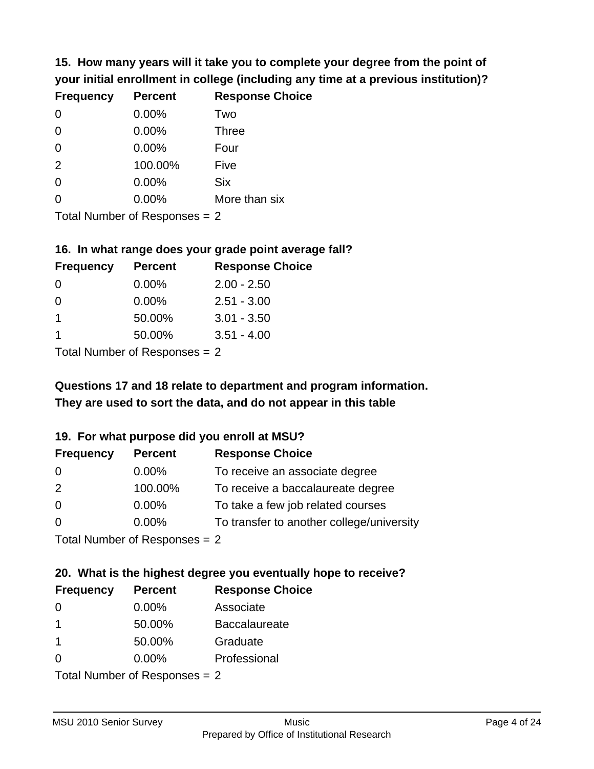**15. How many years will it take you to complete your degree from the point of your initial enrollment in college (including any time at a previous institution)?**

| <b>Frequency</b> | <b>Percent</b> | <b>Response Choice</b> |
|------------------|----------------|------------------------|
| 0                | 0.00%          | Two                    |
| 0                | 0.00%          | <b>Three</b>           |
| $\overline{0}$   | 0.00%          | Four                   |
| 2                | 100.00%        | Five                   |
| $\overline{0}$   | 0.00%          | <b>Six</b>             |
| $\overline{0}$   | 0.00%          | More than six          |
|                  |                |                        |

Total Number of Responses = 2

### **16. In what range does your grade point average fall?**

| <b>Frequency</b> | <b>Percent</b> | <b>Response Choice</b> |
|------------------|----------------|------------------------|
| -0               | $0.00\%$       | $2.00 - 2.50$          |
| $\Omega$         | 0.00%          | $2.51 - 3.00$          |
|                  | 50.00%         | $3.01 - 3.50$          |
|                  | 50.00%         | $3.51 - 4.00$          |
|                  |                |                        |

Total Number of Responses = 2

# **They are used to sort the data, and do not appear in this table Questions 17 and 18 relate to department and program information.**

## **19. For what purpose did you enroll at MSU?**

| <b>Frequency</b>            | <b>Percent</b> | <b>Response Choice</b>                    |
|-----------------------------|----------------|-------------------------------------------|
| 0                           | 0.00%          | To receive an associate degree            |
| 2                           | 100.00%        | To receive a baccalaureate degree         |
| $\overline{0}$              | $0.00\%$       | To take a few job related courses         |
| $\Omega$                    | $0.00\%$       | To transfer to another college/university |
| Total Number of Despanses 2 |                |                                           |

Total Number of Responses = 2

# **20. What is the highest degree you eventually hope to receive?**

| <b>Frequency</b> | <b>Percent</b>                | <b>Response Choice</b> |
|------------------|-------------------------------|------------------------|
| 0                | 0.00%                         | Associate              |
| 1                | 50.00%                        | <b>Baccalaureate</b>   |
| 1                | 50.00%                        | Graduate               |
| 0                | $0.00\%$                      | Professional           |
|                  | $Total Number of Denonce - 2$ |                        |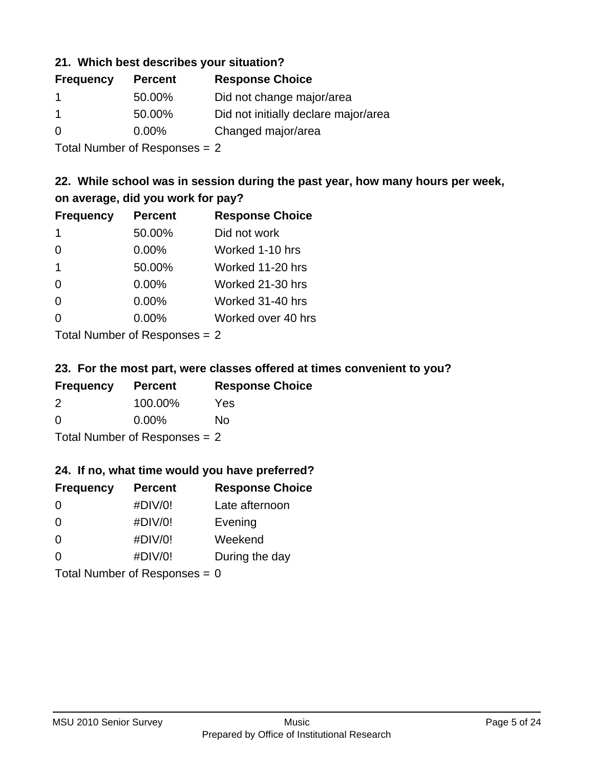### **21. Which best describes your situation?**

| <b>Frequency</b> | <b>Percent</b> | <b>Response Choice</b>               |
|------------------|----------------|--------------------------------------|
|                  | 50.00%         | Did not change major/area            |
|                  | 50.00%         | Did not initially declare major/area |
| $\Omega$         | $0.00\%$       | Changed major/area                   |

Total Number of Responses = 2

## **22. While school was in session during the past year, how many hours per week, on average, did you work for pay?**

| <b>Frequency</b> | <b>Percent</b> | <b>Response Choice</b> |
|------------------|----------------|------------------------|
| $\mathbf 1$      | 50.00%         | Did not work           |
| $\Omega$         | 0.00%          | Worked 1-10 hrs        |
| $\mathbf 1$      | 50.00%         | Worked 11-20 hrs       |
| $\Omega$         | 0.00%          | Worked 21-30 hrs       |
| $\Omega$         | 0.00%          | Worked 31-40 hrs       |
| $\Omega$         | 0.00%          | Worked over 40 hrs     |
|                  |                |                        |

Total Number of Responses = 2

### **23. For the most part, were classes offered at times convenient to you?**

| <b>Frequency</b>                | <b>Percent</b> | <b>Response Choice</b> |
|---------------------------------|----------------|------------------------|
| 2                               | 100.00%        | Yes                    |
| $\Omega$                        | $0.00\%$       | No                     |
| Total Number of Responses $= 2$ |                |                        |

### **24. If no, what time would you have preferred?**

| <b>Frequency</b> | <b>Percent</b>                  | <b>Response Choice</b> |
|------------------|---------------------------------|------------------------|
| $\Omega$         | #DIV/0!                         | Late afternoon         |
| $\Omega$         | #DIV/0!                         | Evening                |
| $\Omega$         | #DIV/0!                         | Weekend                |
| $\Omega$         | #DIV/0!                         | During the day         |
|                  | Total Number of Responses = $0$ |                        |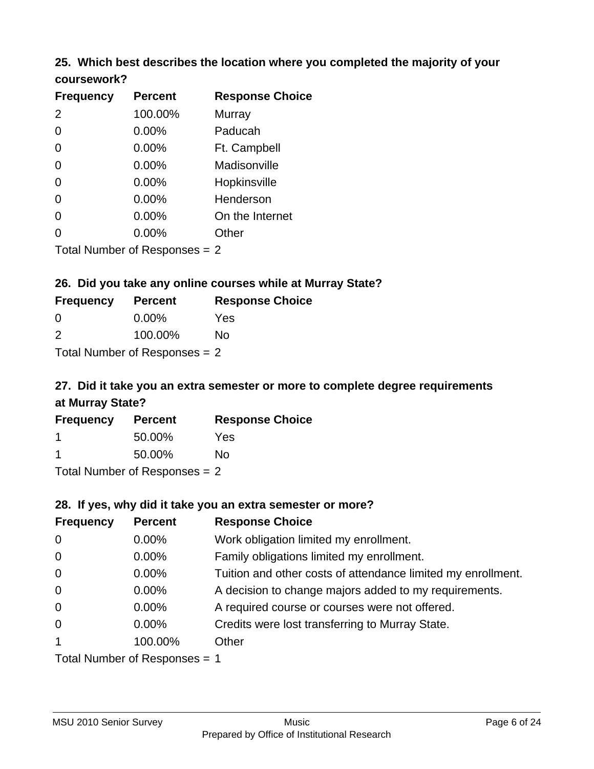## **25. Which best describes the location where you completed the majority of your coursework?**

| <b>Frequency</b> | <b>Percent</b>            | <b>Response Choice</b> |
|------------------|---------------------------|------------------------|
| 2                | 100.00%                   | Murray                 |
| 0                | 0.00%                     | Paducah                |
| $\overline{0}$   | 0.00%                     | Ft. Campbell           |
| $\overline{0}$   | 0.00%                     | Madisonville           |
| $\overline{0}$   | 0.00%                     | Hopkinsville           |
| $\overline{0}$   | 0.00%                     | Henderson              |
| 0                | 0.00%                     | On the Internet        |
| 0                | 0.00%                     | Other                  |
|                  | Total Number of Deepersee | n                      |

Total Number of Responses = 2

## **26. Did you take any online courses while at Murray State?**

| <b>Frequency</b>                | <b>Percent</b> | <b>Response Choice</b> |  |
|---------------------------------|----------------|------------------------|--|
| -0                              | $0.00\%$       | Yes                    |  |
| $\mathcal{P}$                   | 100.00%        | No                     |  |
| Total Number of Responses $= 2$ |                |                        |  |

# **27. Did it take you an extra semester or more to complete degree requirements at Murray State?**

| <b>Frequency</b> | <b>Percent</b>             | <b>Response Choice</b> |
|------------------|----------------------------|------------------------|
|                  | 50.00%                     | Yes                    |
| -1               | 50.00%                     | No                     |
|                  | Total Number of Desperance |                        |

Total Number of Responses = 2

### **28. If yes, why did it take you an extra semester or more?**

| <b>Frequency</b>               | <b>Percent</b> | <b>Response Choice</b>                                       |
|--------------------------------|----------------|--------------------------------------------------------------|
| $\mathbf 0$                    | 0.00%          | Work obligation limited my enrollment.                       |
| $\mathbf 0$                    | 0.00%          | Family obligations limited my enrollment.                    |
| $\mathbf 0$                    | $0.00\%$       | Tuition and other costs of attendance limited my enrollment. |
| $\mathbf 0$                    | 0.00%          | A decision to change majors added to my requirements.        |
| $\mathbf 0$                    | $0.00\%$       | A required course or courses were not offered.               |
| $\overline{0}$                 | $0.00\%$       | Credits were lost transferring to Murray State.              |
| $\mathbf{1}$                   | 100.00%        | Other                                                        |
| Total Number of Responses $-1$ |                |                                                              |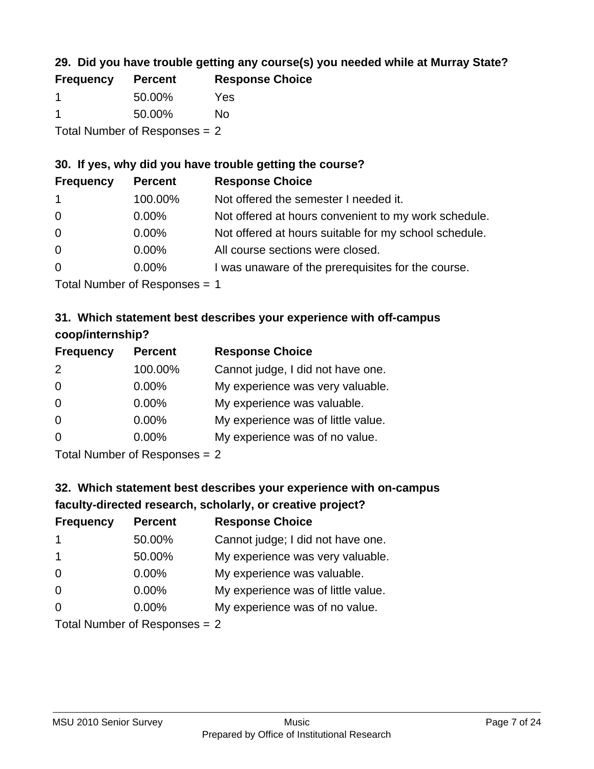## **29. Did you have trouble getting any course(s) you needed while at Murray State?**

| <b>Frequency</b>              | <b>Percent</b> | <b>Response Choice</b> |
|-------------------------------|----------------|------------------------|
|                               | 50.00%         | Yes                    |
|                               | 50.00%         | Nο                     |
| Total Number of Responses = 2 |                |                        |

### **30. If yes, why did you have trouble getting the course?**

| <b>Frequency</b> | <b>Percent</b> | <b>Response Choice</b>                                |
|------------------|----------------|-------------------------------------------------------|
| $\mathbf{1}$     | 100.00%        | Not offered the semester I needed it.                 |
| $\overline{0}$   | $0.00\%$       | Not offered at hours convenient to my work schedule.  |
| $\overline{0}$   | $0.00\%$       | Not offered at hours suitable for my school schedule. |
| $\overline{0}$   | $0.00\%$       | All course sections were closed.                      |
| $\overline{0}$   | $0.00\%$       | I was unaware of the prerequisites for the course.    |
|                  |                |                                                       |

Total Number of Responses = 1

## **31. Which statement best describes your experience with off-campus coop/internship?**

| <b>Frequency</b> | <b>Percent</b> | <b>Response Choice</b>             |
|------------------|----------------|------------------------------------|
| 2                | 100.00%        | Cannot judge, I did not have one.  |
| $\Omega$         | 0.00%          | My experience was very valuable.   |
| $\Omega$         | $0.00\%$       | My experience was valuable.        |
| $\Omega$         | 0.00%          | My experience was of little value. |
| $\Omega$         | 0.00%          | My experience was of no value.     |
|                  |                |                                    |

Total Number of Responses = 2

# **32. Which statement best describes your experience with on-campus faculty-directed research, scholarly, or creative project?**

| <b>Frequency</b>                | <b>Percent</b> | <b>Response Choice</b>             |
|---------------------------------|----------------|------------------------------------|
| -1                              | 50.00%         | Cannot judge; I did not have one.  |
| $\overline{1}$                  | 50.00%         | My experience was very valuable.   |
| $\Omega$                        | $0.00\%$       | My experience was valuable.        |
| $\Omega$                        | $0.00\%$       | My experience was of little value. |
| $\Omega$                        | $0.00\%$       | My experience was of no value.     |
| Total Number of Decononces $-2$ |                |                                    |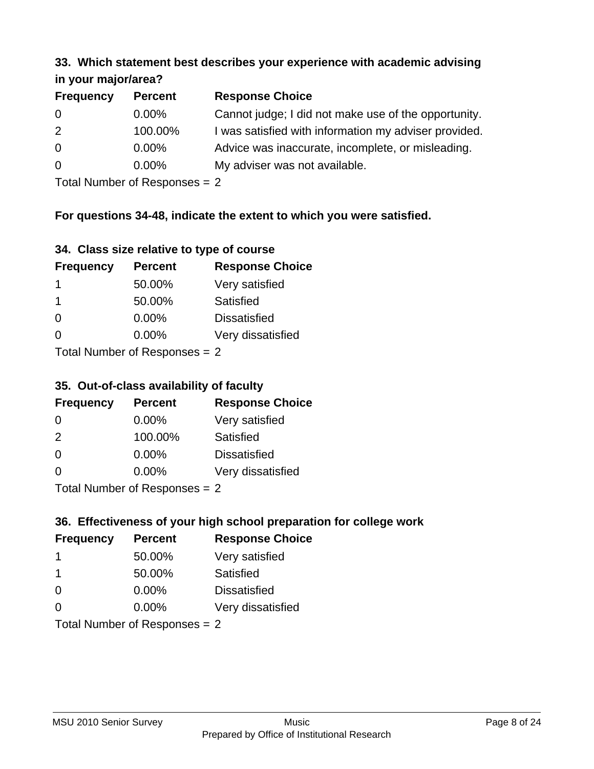#### **33. Which statement best describes your experience with academic advising in your major/area?**

| $\cdots$ your mapproved. |                |                                                       |
|--------------------------|----------------|-------------------------------------------------------|
| <b>Frequency</b>         | <b>Percent</b> | <b>Response Choice</b>                                |
| 0                        | $0.00\%$       | Cannot judge; I did not make use of the opportunity.  |
| 2                        | 100.00%        | I was satisfied with information my adviser provided. |
| $\overline{0}$           | 0.00%          | Advice was inaccurate, incomplete, or misleading.     |
| 0                        | $0.00\%$       | My adviser was not available.                         |
|                          |                |                                                       |

Total Number of Responses = 2

## **For questions 34-48, indicate the extent to which you were satisfied.**

| 34. Class size relative to type of course |
|-------------------------------------------|
|-------------------------------------------|

| <b>Frequency</b>               | <b>Percent</b> | <b>Response Choice</b> |  |
|--------------------------------|----------------|------------------------|--|
| 1                              | 50.00%         | Very satisfied         |  |
| -1                             | 50.00%         | Satisfied              |  |
| $\Omega$                       | $0.00\%$       | <b>Dissatisfied</b>    |  |
| $\Omega$                       | $0.00\%$       | Very dissatisfied      |  |
| Total Number of Reconnege $-2$ |                |                        |  |

I otal Number of Responses =  $2$ 

## **35. Out-of-class availability of faculty**

| <b>Frequency</b>          | <b>Percent</b> | <b>Response Choice</b> |  |
|---------------------------|----------------|------------------------|--|
| $\Omega$                  | 0.00%          | Very satisfied         |  |
| $\mathcal{P}$             | 100.00%        | Satisfied              |  |
| $\Omega$                  | 0.00%          | <b>Dissatisfied</b>    |  |
| $\Omega$                  | 0.00%          | Very dissatisfied      |  |
| Total Number of Deepensee |                |                        |  |

Total Number of Responses = 2

## **36. Effectiveness of your high school preparation for college work**

| <b>Frequency</b>              | <b>Percent</b> | <b>Response Choice</b> |  |
|-------------------------------|----------------|------------------------|--|
| -1                            | 50.00%         | Very satisfied         |  |
| -1                            | 50.00%         | Satisfied              |  |
| $\Omega$                      | $0.00\%$       | <b>Dissatisfied</b>    |  |
| $\Omega$                      | $0.00\%$       | Very dissatisfied      |  |
| Total Number of Responses = 2 |                |                        |  |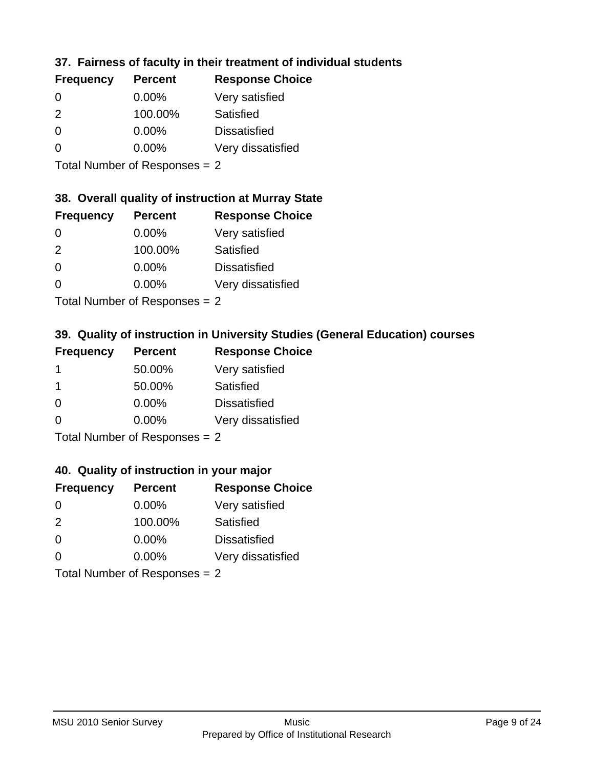## **37. Fairness of faculty in their treatment of individual students**

| <b>Frequency</b> | <b>Percent</b> | <b>Response Choice</b> |
|------------------|----------------|------------------------|
| $\Omega$         | 0.00%          | Very satisfied         |
| $\mathcal{P}$    | 100.00%        | Satisfied              |
| $\Omega$         | 0.00%          | <b>Dissatisfied</b>    |
| $\Omega$         | $0.00\%$       | Very dissatisfied      |
|                  |                |                        |

Total Number of Responses = 2

### **38. Overall quality of instruction at Murray State**

| <b>Frequency</b> | <b>Percent</b> | <b>Response Choice</b> |
|------------------|----------------|------------------------|
| 0                | $0.00\%$       | Very satisfied         |
| $\mathcal{P}$    | 100.00%        | <b>Satisfied</b>       |
| $\Omega$         | 0.00%          | <b>Dissatisfied</b>    |
| $\Omega$         | 0.00%          | Very dissatisfied      |
|                  |                |                        |

Total Number of Responses = 2

## **39. Quality of instruction in University Studies (General Education) courses**

| <b>Frequency</b> | <b>Percent</b> | <b>Response Choice</b> |
|------------------|----------------|------------------------|
|                  | 50.00%         | Very satisfied         |
| -1               | 50.00%         | Satisfied              |
| $\Omega$         | 0.00%          | <b>Dissatisfied</b>    |
| $\Omega$         | 0.00%          | Very dissatisfied      |
|                  |                |                        |

Total Number of Responses = 2

### **40. Quality of instruction in your major**

| <b>Frequency</b>              | <b>Percent</b> | <b>Response Choice</b> |
|-------------------------------|----------------|------------------------|
| $\Omega$                      | $0.00\%$       | Very satisfied         |
| 2                             | 100.00%        | Satisfied              |
| $\Omega$                      | $0.00\%$       | <b>Dissatisfied</b>    |
| $\Omega$                      | $0.00\%$       | Very dissatisfied      |
| Total Number of Responses = 2 |                |                        |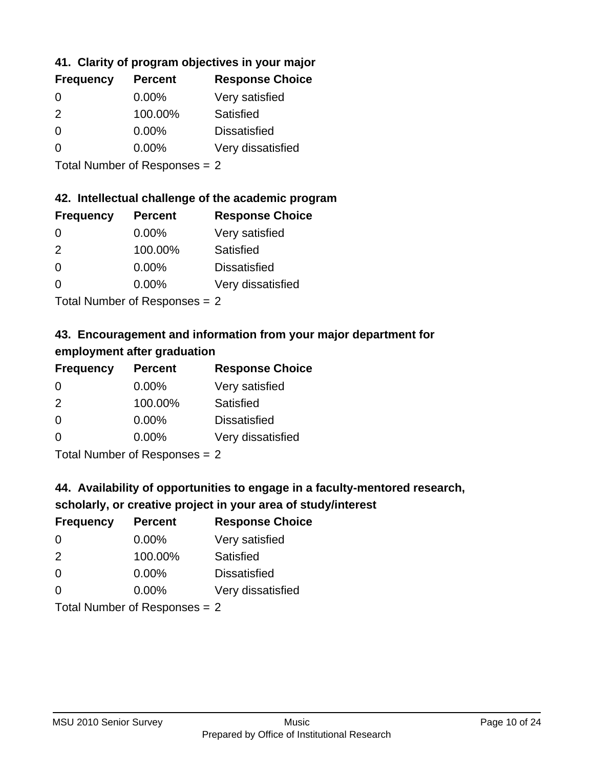## **41. Clarity of program objectives in your major**

| <b>Frequency</b> | <b>Percent</b> | <b>Response Choice</b> |
|------------------|----------------|------------------------|
| 0                | $0.00\%$       | Very satisfied         |
| $\mathcal{P}$    | 100.00%        | Satisfied              |
| $\Omega$         | 0.00%          | <b>Dissatisfied</b>    |
| ∩                | $0.00\%$       | Very dissatisfied      |
|                  |                |                        |

Total Number of Responses = 2

## **42. Intellectual challenge of the academic program**

| <b>Frequency</b> | <b>Percent</b> | <b>Response Choice</b> |
|------------------|----------------|------------------------|
| $\Omega$         | $0.00\%$       | Very satisfied         |
| $\mathcal{P}$    | 100.00%        | Satisfied              |
| $\Omega$         | 0.00%          | <b>Dissatisfied</b>    |
| $\Omega$         | 0.00%          | Very dissatisfied      |
|                  |                |                        |

Total Number of Responses = 2

# **43. Encouragement and information from your major department for employment after graduation**

| <b>Frequency</b> | <b>Percent</b> | <b>Response Choice</b> |
|------------------|----------------|------------------------|
| 0                | $0.00\%$       | Very satisfied         |
| 2                | 100.00%        | Satisfied              |
| $\Omega$         | 0.00%          | <b>Dissatisfied</b>    |
| $\Omega$         | 0.00%          | Very dissatisfied      |
|                  |                |                        |

Total Number of Responses = 2

## **44. Availability of opportunities to engage in a faculty-mentored research,**

## **scholarly, or creative project in your area of study/interest**

| <b>Frequency</b>           | <b>Percent</b> | <b>Response Choice</b> |
|----------------------------|----------------|------------------------|
| $\Omega$                   | $0.00\%$       | Very satisfied         |
| 2                          | 100.00%        | Satisfied              |
| $\Omega$                   | $0.00\%$       | <b>Dissatisfied</b>    |
| $\Omega$                   | 0.00%          | Very dissatisfied      |
| Tatal Manakan af Dagmanage |                |                        |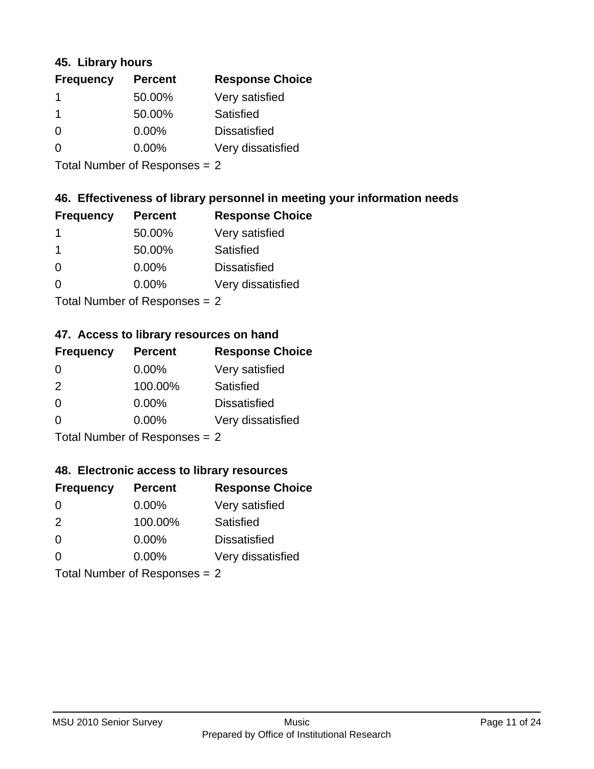### **45. Library hours**

| <b>Frequency</b> | <b>Percent</b> | <b>Response Choice</b> |
|------------------|----------------|------------------------|
|                  | 50.00%         | Very satisfied         |
|                  | 50.00%         | Satisfied              |
| $\Omega$         | $0.00\%$       | <b>Dissatisfied</b>    |
| $\Omega$         | $0.00\%$       | Very dissatisfied      |
|                  |                |                        |

Total Number of Responses = 2

## **46. Effectiveness of library personnel in meeting your information needs**

| <b>Frequency</b> | <b>Percent</b> | <b>Response Choice</b> |
|------------------|----------------|------------------------|
|                  | 50.00%         | Very satisfied         |
|                  | 50.00%         | Satisfied              |
| $\Omega$         | $0.00\%$       | <b>Dissatisfied</b>    |
| O                | $0.00\%$       | Very dissatisfied      |
|                  |                |                        |

Total Number of Responses = 2

## **47. Access to library resources on hand**

| <b>Frequency</b> | <b>Percent</b>              | <b>Response Choice</b> |
|------------------|-----------------------------|------------------------|
| $\Omega$         | $0.00\%$                    | Very satisfied         |
| 2                | 100.00%                     | Satisfied              |
| 0                | 0.00%                       | <b>Dissatisfied</b>    |
| $\Omega$         | 0.00%                       | Very dissatisfied      |
|                  | Total Number of Despesses 2 |                        |

Total Number of Responses = 2

### **48. Electronic access to library resources**

| <b>Frequency</b>              | <b>Percent</b> | <b>Response Choice</b> |
|-------------------------------|----------------|------------------------|
| $\Omega$                      | $0.00\%$       | Very satisfied         |
| 2                             | 100.00%        | Satisfied              |
| $\Omega$                      | $0.00\%$       | <b>Dissatisfied</b>    |
| $\Omega$                      | $0.00\%$       | Very dissatisfied      |
| Total Number of Responses = 2 |                |                        |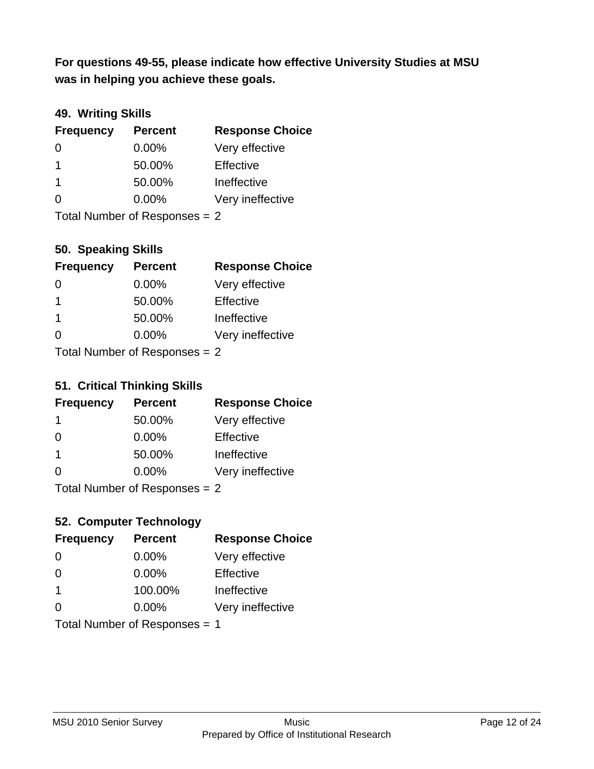**was in helping you achieve these goals. For questions 49-55, please indicate how effective University Studies at MSU** 

## **49. Writing Skills**

| <b>Frequency</b>              | <b>Percent</b> | <b>Response Choice</b> |
|-------------------------------|----------------|------------------------|
| $\Omega$                      | $0.00\%$       | Very effective         |
| -1                            | 50.00%         | Effective              |
| -1                            | 50.00%         | Ineffective            |
| $\Omega$                      | $0.00\%$       | Very ineffective       |
| Total Number of Responses = 2 |                |                        |

**50. Speaking Skills**

| <b>Frequency</b>               | <b>Percent</b> | <b>Response Choice</b> |
|--------------------------------|----------------|------------------------|
| 0                              | $0.00\%$       | Very effective         |
| -1                             | 50.00%         | Effective              |
| -1                             | 50.00%         | Ineffective            |
| $\Omega$                       | 0.00%          | Very ineffective       |
| Total Number of Deconoces $-2$ |                |                        |

Total Number of Responses = 2

### **51. Critical Thinking Skills**

| <b>Frequency</b> | <b>Percent</b>            | <b>Response Choice</b> |
|------------------|---------------------------|------------------------|
|                  | 50.00%                    | Very effective         |
| $\Omega$         | 0.00%                     | Effective              |
| -1               | 50.00%                    | Ineffective            |
| $\Omega$         | 0.00%                     | Very ineffective       |
|                  | Total Number of Desponses |                        |

I otal Number of Responses  $= 2$ 

## **52. Computer Technology**

| <b>Frequency</b>              | <b>Percent</b> | <b>Response Choice</b> |
|-------------------------------|----------------|------------------------|
| $\Omega$                      | 0.00%          | Very effective         |
| $\Omega$                      | 0.00%          | Effective              |
| $\mathbf 1$                   | 100.00%        | Ineffective            |
| $\Omega$                      | $0.00\%$       | Very ineffective       |
| Total Number of Responses = 1 |                |                        |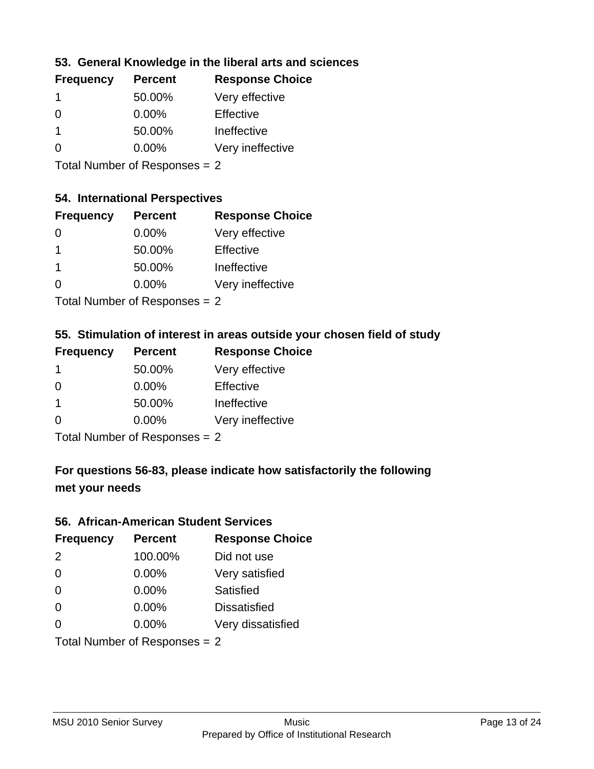## **53. General Knowledge in the liberal arts and sciences**

| <b>Frequency</b> | <b>Percent</b> | <b>Response Choice</b> |
|------------------|----------------|------------------------|
|                  | 50.00%         | Very effective         |
| $\Omega$         | $0.00\%$       | Effective              |
| 1                | 50.00%         | Ineffective            |
| O                | $0.00\%$       | Very ineffective       |
|                  |                |                        |

Total Number of Responses = 2

### **54. International Perspectives**

| <b>Frequency</b> | <b>Percent</b> | <b>Response Choice</b> |
|------------------|----------------|------------------------|
| $\Omega$         | 0.00%          | Very effective         |
| 1                | 50.00%         | Effective              |
| 1                | 50.00%         | Ineffective            |
| $\Omega$         | 0.00%          | Very ineffective       |
|                  |                |                        |

Total Number of Responses = 2

## **55. Stimulation of interest in areas outside your chosen field of study**

| <b>Frequency</b> | <b>Percent</b>            | <b>Response Choice</b> |
|------------------|---------------------------|------------------------|
|                  | 50.00%                    | Very effective         |
| $\Omega$         | 0.00%                     | Effective              |
| -1               | 50.00%                    | Ineffective            |
| $\Omega$         | 0.00%                     | Very ineffective       |
|                  | Total Number of Deepensee |                        |

Total Number of Responses = 2

# **For questions 56-83, please indicate how satisfactorily the following met your needs**

#### **56. African-American Student Services**

| <b>Frequency</b> | <b>Percent</b>                | <b>Response Choice</b> |
|------------------|-------------------------------|------------------------|
| 2                | 100.00%                       | Did not use            |
| $\Omega$         | 0.00%                         | Very satisfied         |
| $\Omega$         | 0.00%                         | Satisfied              |
| $\Omega$         | 0.00%                         | <b>Dissatisfied</b>    |
| $\Omega$         | 0.00%                         | Very dissatisfied      |
|                  | Total Number of Responses = 2 |                        |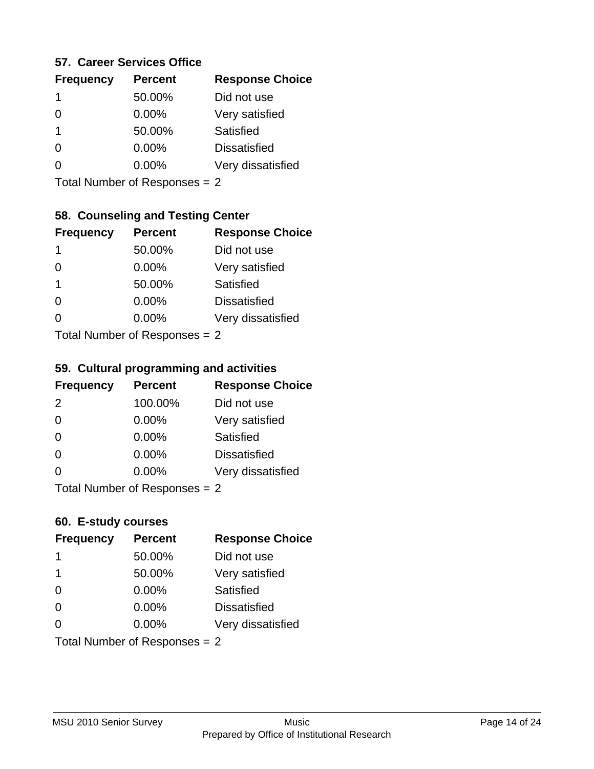### **57. Career Services Office**

| <b>Frequency</b> | <b>Percent</b> | <b>Response Choice</b> |
|------------------|----------------|------------------------|
| 1                | 50.00%         | Did not use            |
|                  | $0.00\%$       | Very satisfied         |
| 1                | 50.00%         | Satisfied              |
|                  | $0.00\%$       | <b>Dissatisfied</b>    |
|                  | $0.00\%$       | Very dissatisfied      |
|                  |                |                        |

Total Number of Responses = 2

# **58. Counseling and Testing Center**

| <b>Frequency</b> | <b>Percent</b>            | <b>Response Choice</b> |
|------------------|---------------------------|------------------------|
| 1                | 50.00%                    | Did not use            |
| 0                | 0.00%                     | Very satisfied         |
| 1                | 50.00%                    | <b>Satisfied</b>       |
| ∩                | 0.00%                     | <b>Dissatisfied</b>    |
| 0                | 0.00%                     | Very dissatisfied      |
|                  | Total Number of DoEROR 0. |                        |

Total Number of Responses = 2

### **59. Cultural programming and activities**

| <b>Frequency</b> | <b>Percent</b>                | <b>Response Choice</b> |
|------------------|-------------------------------|------------------------|
| 2                | 100.00%                       | Did not use            |
| $\Omega$         | 0.00%                         | Very satisfied         |
| $\Omega$         | 0.00%                         | Satisfied              |
| $\Omega$         | $0.00\%$                      | <b>Dissatisfied</b>    |
| $\Omega$         | $0.00\%$                      | Very dissatisfied      |
|                  | Total Number of Responses = 2 |                        |

## **60. E-study courses**

| <b>Frequency</b>              | <b>Percent</b> | <b>Response Choice</b> |
|-------------------------------|----------------|------------------------|
| 1                             | 50.00%         | Did not use            |
| -1                            | 50.00%         | Very satisfied         |
| $\Omega$                      | 0.00%          | Satisfied              |
| $\Omega$                      | 0.00%          | <b>Dissatisfied</b>    |
| $\Omega$                      | 0.00%          | Very dissatisfied      |
| Total Number of Responses = 2 |                |                        |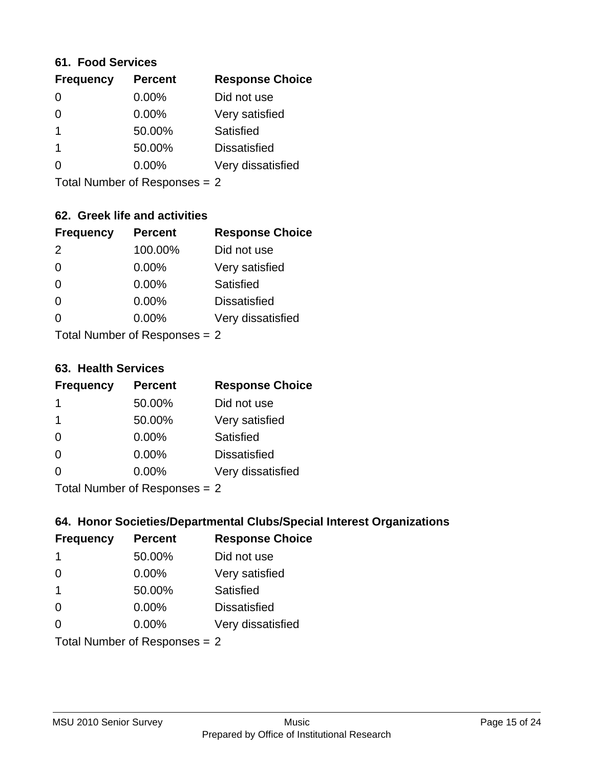### **61. Food Services**

| <b>Frequency</b> | <b>Percent</b> | <b>Response Choice</b> |
|------------------|----------------|------------------------|
| $\Omega$         | 0.00%          | Did not use            |
| 0                | 0.00%          | Very satisfied         |
|                  | 50.00%         | Satisfied              |
|                  | 50.00%         | <b>Dissatisfied</b>    |
|                  | $0.00\%$       | Very dissatisfied      |
|                  |                |                        |

Total Number of Responses = 2

### **62. Greek life and activities**

| <b>Frequency</b> | <b>Percent</b>                  | <b>Response Choice</b> |
|------------------|---------------------------------|------------------------|
| 2                | 100.00%                         | Did not use            |
| 0                | 0.00%                           | Very satisfied         |
| $\Omega$         | 0.00%                           | Satisfied              |
| $\Omega$         | 0.00%                           | <b>Dissatisfied</b>    |
|                  | 0.00%                           | Very dissatisfied      |
|                  | Total Number of Responses $= 2$ |                        |

**63. Health Services**

| <b>Frequency</b> | <b>Percent</b>             | <b>Response Choice</b> |
|------------------|----------------------------|------------------------|
| $\mathbf 1$      | 50.00%                     | Did not use            |
| 1                | 50.00%                     | Very satisfied         |
| $\Omega$         | $0.00\%$                   | Satisfied              |
| $\Omega$         | 0.00%                      | <b>Dissatisfied</b>    |
| $\Omega$         | 0.00%                      | Very dissatisfied      |
|                  | Total Number of Deepersoon |                        |

Total Number of Responses = 2

### **64. Honor Societies/Departmental Clubs/Special Interest Organizations**

| <b>Frequency</b>              | <b>Percent</b> | <b>Response Choice</b> |
|-------------------------------|----------------|------------------------|
| $\mathbf 1$                   | 50.00%         | Did not use            |
| $\Omega$                      | 0.00%          | Very satisfied         |
| $\overline{\mathbf{1}}$       | 50.00%         | Satisfied              |
| $\Omega$                      | $0.00\%$       | <b>Dissatisfied</b>    |
| $\Omega$                      | 0.00%          | Very dissatisfied      |
| Total Number of Responses = 2 |                |                        |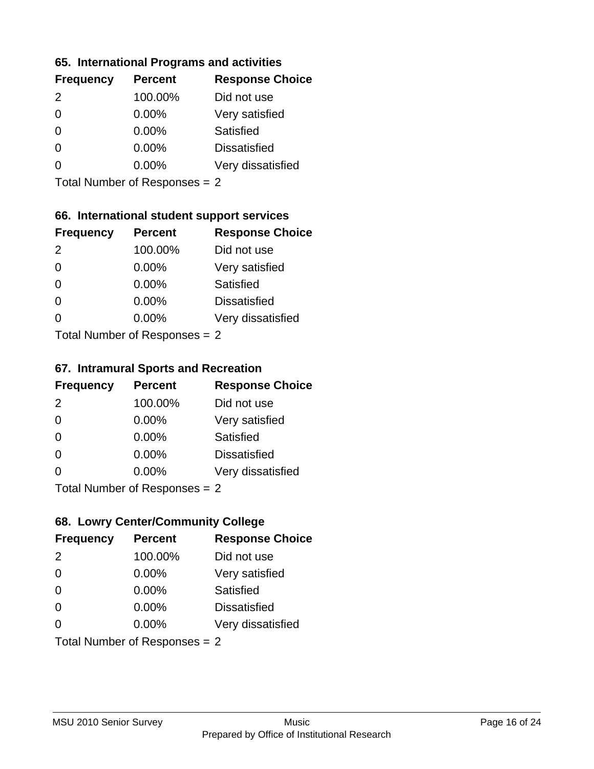### **65. International Programs and activities**

| <b>Frequency</b> | <b>Percent</b> | <b>Response Choice</b> |
|------------------|----------------|------------------------|
| $\mathcal{P}$    | 100.00%        | Did not use            |
| 0                | 0.00%          | Very satisfied         |
| 0                | $0.00\%$       | Satisfied              |
|                  | $0.00\%$       | <b>Dissatisfied</b>    |
|                  | $0.00\%$       | Very dissatisfied      |
|                  |                |                        |

Total Number of Responses = 2

## **66. International student support services**

| <b>Frequency</b>          | <b>Percent</b> | <b>Response Choice</b> |
|---------------------------|----------------|------------------------|
| $\mathcal{P}$             | 100.00%        | Did not use            |
| $\Omega$                  | 0.00%          | Very satisfied         |
| $\Omega$                  | 0.00%          | <b>Satisfied</b>       |
| $\Omega$                  | 0.00%          | <b>Dissatisfied</b>    |
| ∩                         | 0.00%          | Very dissatisfied      |
| Total Number of Desponses |                |                        |

Total Number of Responses = 2

### **67. Intramural Sports and Recreation**

| <b>Frequency</b> | <b>Percent</b>                 | <b>Response Choice</b> |
|------------------|--------------------------------|------------------------|
| 2                | 100.00%                        | Did not use            |
| $\Omega$         | 0.00%                          | Very satisfied         |
| $\Omega$         | 0.00%                          | Satisfied              |
| $\Omega$         | 0.00%                          | <b>Dissatisfied</b>    |
| $\Omega$         | 0.00%                          | Very dissatisfied      |
|                  | Total Number of Poenonces $-2$ |                        |

I otal Number of Responses = 2

## **68. Lowry Center/Community College**

| <b>Frequency</b> | <b>Percent</b>                | <b>Response Choice</b> |
|------------------|-------------------------------|------------------------|
| 2                | 100.00%                       | Did not use            |
| $\Omega$         | 0.00%                         | Very satisfied         |
| $\Omega$         | 0.00%                         | Satisfied              |
| $\Omega$         | 0.00%                         | <b>Dissatisfied</b>    |
| $\Omega$         | $0.00\%$                      | Very dissatisfied      |
|                  | Total Number of Responses = 2 |                        |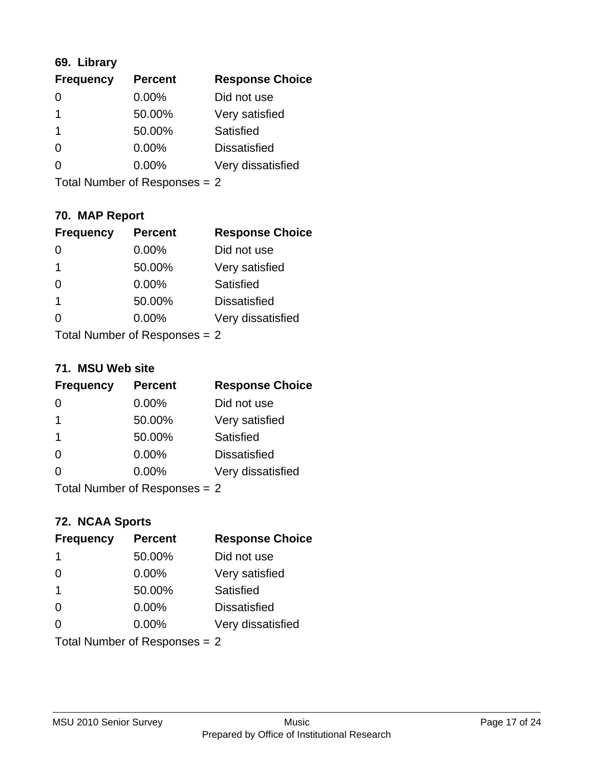## **69. Library**

| <b>Frequency</b> | <b>Percent</b> | <b>Response Choice</b> |
|------------------|----------------|------------------------|
| O                | 0.00%          | Did not use            |
| 1                | 50.00%         | Very satisfied         |
| 1                | 50.00%         | Satisfied              |
| 0                | $0.00\%$       | <b>Dissatisfied</b>    |
| 0                | $0.00\%$       | Very dissatisfied      |
|                  |                |                        |

Total Number of Responses = 2

# **70. MAP Report**

| <b>Frequency</b>                | <b>Percent</b> | <b>Response Choice</b> |
|---------------------------------|----------------|------------------------|
|                                 | 0.00%          | Did not use            |
| 1                               | 50.00%         | Very satisfied         |
| 0                               | 0.00%          | Satisfied              |
| 1                               | 50.00%         | <b>Dissatisfied</b>    |
|                                 | $0.00\%$       | Very dissatisfied      |
| Total Number of Responses $= 2$ |                |                        |

### **71. MSU Web site**

| <b>Frequency</b> | <b>Percent</b>                | <b>Response Choice</b> |
|------------------|-------------------------------|------------------------|
| $\Omega$         | $0.00\%$                      | Did not use            |
| -1               | 50.00%                        | Very satisfied         |
| -1               | 50.00%                        | Satisfied              |
| $\Omega$         | 0.00%                         | <b>Dissatisfied</b>    |
| ∩                | 0.00%                         | Very dissatisfied      |
|                  | Total Number of Responses = 2 |                        |

## **72. NCAA Sports**

| <b>Frequency</b>              | <b>Percent</b> | <b>Response Choice</b> |
|-------------------------------|----------------|------------------------|
| 1                             | 50.00%         | Did not use            |
| $\Omega$                      | 0.00%          | Very satisfied         |
| $\mathbf 1$                   | 50.00%         | Satisfied              |
| $\Omega$                      | 0.00%          | <b>Dissatisfied</b>    |
| ∩                             | $0.00\%$       | Very dissatisfied      |
| Total Number of Responses = 2 |                |                        |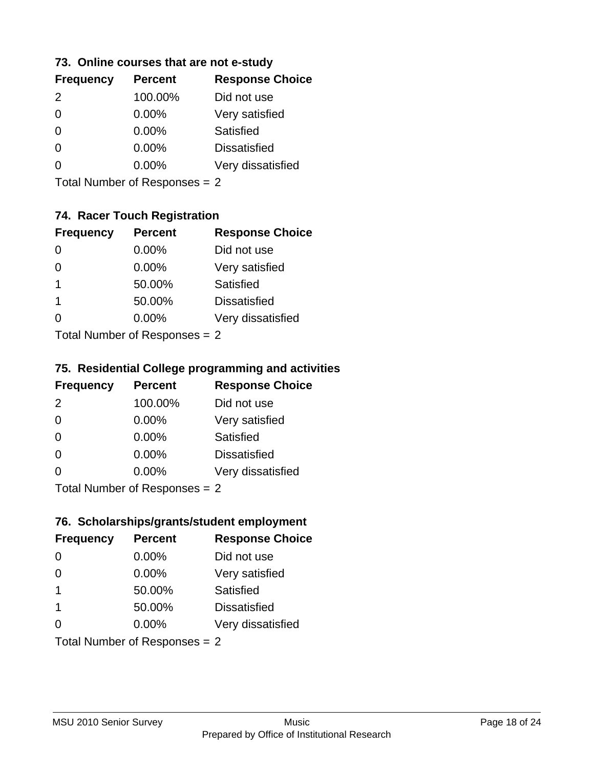### **73. Online courses that are not e-study**

| <b>Frequency</b> | <b>Percent</b> | <b>Response Choice</b> |
|------------------|----------------|------------------------|
| $\mathcal{P}$    | 100.00%        | Did not use            |
| 0                | $0.00\%$       | Very satisfied         |
| 0                | $0.00\%$       | Satisfied              |
|                  | $0.00\%$       | <b>Dissatisfied</b>    |
|                  | $0.00\%$       | Very dissatisfied      |
|                  |                |                        |

Total Number of Responses = 2

## **74. Racer Touch Registration**

| <b>Frequency</b>          | <b>Percent</b> | <b>Response Choice</b> |
|---------------------------|----------------|------------------------|
| $\Omega$                  | 0.00%          | Did not use            |
| 0                         | 0.00%          | Very satisfied         |
| 1                         | 50.00%         | Satisfied              |
| 1                         | 50.00%         | <b>Dissatisfied</b>    |
| 0                         | 0.00%          | Very dissatisfied      |
| Total Number of Desponses |                |                        |

Total Number of Responses = 2

## **75. Residential College programming and activities**

| <b>Frequency</b> | <b>Percent</b>                 | <b>Response Choice</b> |
|------------------|--------------------------------|------------------------|
| 2                | 100.00%                        | Did not use            |
| $\Omega$         | 0.00%                          | Very satisfied         |
| $\Omega$         | 0.00%                          | Satisfied              |
| $\Omega$         | 0.00%                          | <b>Dissatisfied</b>    |
| $\Omega$         | 0.00%                          | Very dissatisfied      |
|                  | Total Number of Decreases $-2$ |                        |

I otal Number of Responses = 2

## **76. Scholarships/grants/student employment**

| <b>Frequency</b> | <b>Percent</b>                | <b>Response Choice</b> |
|------------------|-------------------------------|------------------------|
| $\Omega$         | 0.00%                         | Did not use            |
| $\Omega$         | $0.00\%$                      | Very satisfied         |
| -1               | 50.00%                        | Satisfied              |
| -1               | 50.00%                        | <b>Dissatisfied</b>    |
| $\Omega$         | 0.00%                         | Very dissatisfied      |
|                  | Total Number of Responses = 2 |                        |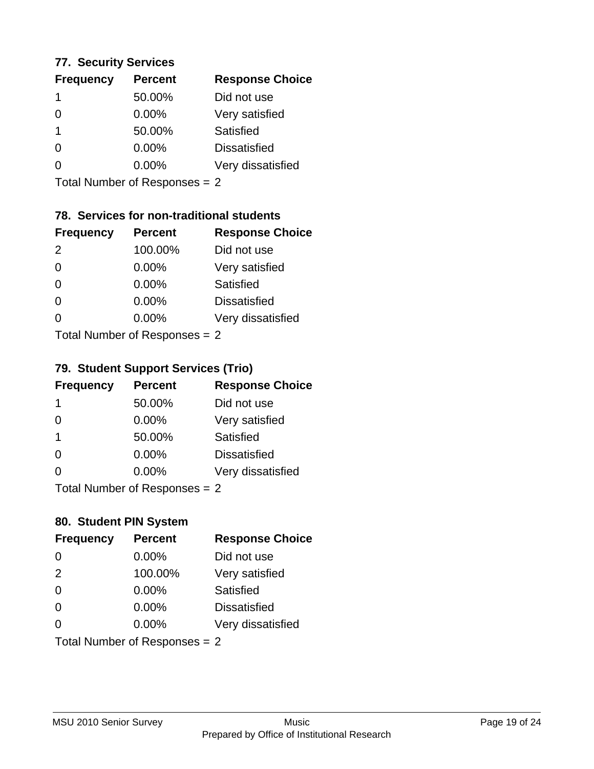### **77. Security Services**

| <b>Frequency</b> | <b>Percent</b> | <b>Response Choice</b> |
|------------------|----------------|------------------------|
|                  | 50.00%         | Did not use            |
| 0                | $0.00\%$       | Very satisfied         |
|                  | 50.00%         | Satisfied              |
| 0                | $0.00\%$       | <b>Dissatisfied</b>    |
|                  | $0.00\%$       | Very dissatisfied      |
|                  |                |                        |

Total Number of Responses = 2

## **78. Services for non-traditional students**

| <b>Frequency</b> | <b>Percent</b>            | <b>Response Choice</b> |
|------------------|---------------------------|------------------------|
| 2                | 100.00%                   | Did not use            |
| $\Omega$         | 0.00%                     | Very satisfied         |
| $\Omega$         | 0.00%                     | Satisfied              |
| $\Omega$         | 0.00%                     | <b>Dissatisfied</b>    |
| $\Omega$         | 0.00%                     | Very dissatisfied      |
|                  | Total Number of DoEROR 0. |                        |

Total Number of Responses = 2

## **79. Student Support Services (Trio)**

| <b>Frequency</b> | <b>Percent</b>                  | <b>Response Choice</b> |
|------------------|---------------------------------|------------------------|
| -1               | 50.00%                          | Did not use            |
| $\Omega$         | 0.00%                           | Very satisfied         |
| -1               | 50.00%                          | Satisfied              |
| $\Omega$         | 0.00%                           | <b>Dissatisfied</b>    |
| $\Omega$         | 0.00%                           | Very dissatisfied      |
|                  | $Total$ Number of Despasses $-$ |                        |

I otal Number of Responses = 2

## **80. Student PIN System**

| <b>Frequency</b> | <b>Percent</b>                | <b>Response Choice</b> |
|------------------|-------------------------------|------------------------|
| 0                | 0.00%                         | Did not use            |
| 2                | 100.00%                       | Very satisfied         |
| $\Omega$         | 0.00%                         | Satisfied              |
| $\Omega$         | $0.00\%$                      | <b>Dissatisfied</b>    |
| $\Omega$         | 0.00%                         | Very dissatisfied      |
|                  | Total Number of Responses = 2 |                        |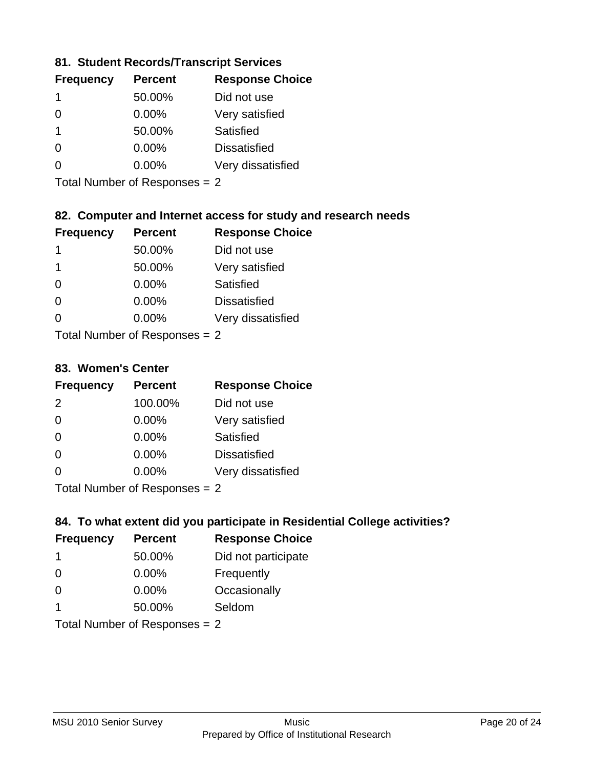## **81. Student Records/Transcript Services**

| <b>Frequency</b> | <b>Percent</b> | <b>Response Choice</b> |
|------------------|----------------|------------------------|
| 1                | 50.00%         | Did not use            |
| 0                | $0.00\%$       | Very satisfied         |
| 1                | 50.00%         | Satisfied              |
| 0                | $0.00\%$       | <b>Dissatisfied</b>    |
|                  | $0.00\%$       | Very dissatisfied      |

Total Number of Responses = 2

## **82. Computer and Internet access for study and research needs**

| <b>Frequency</b> | <b>Percent</b>                              | <b>Response Choice</b> |
|------------------|---------------------------------------------|------------------------|
| 1                | 50.00%                                      | Did not use            |
| 1                | 50.00%                                      | Very satisfied         |
| $\Omega$         | 0.00%                                       | Satisfied              |
| $\Omega$         | 0.00%                                       | <b>Dissatisfied</b>    |
| ∩                | 0.00%                                       | Very dissatisfied      |
|                  | $T$ at all Masseds and $D$ are a second $T$ |                        |

Total Number of Responses = 2

#### **83. Women's Center**

| <b>Frequency</b> | <b>Percent</b>             | <b>Response Choice</b> |
|------------------|----------------------------|------------------------|
| $\mathcal{P}$    | 100.00%                    | Did not use            |
| $\Omega$         | $0.00\%$                   | Very satisfied         |
| $\Omega$         | $0.00\%$                   | Satisfied              |
| $\Omega$         | 0.00%                      | <b>Dissatisfied</b>    |
| $\Omega$         | 0.00%                      | Very dissatisfied      |
|                  | Total Number of Deepersoon |                        |

Total Number of Responses = 2

### **84. To what extent did you participate in Residential College activities?**

| <b>Frequency</b> | <b>Percent</b>                | <b>Response Choice</b> |
|------------------|-------------------------------|------------------------|
| -1               | 50.00%                        | Did not participate    |
| $\Omega$         | 0.00%                         | Frequently             |
| $\Omega$         | $0.00\%$                      | Occasionally           |
| 1                | 50.00%                        | Seldom                 |
|                  | Total Number of Responses = 2 |                        |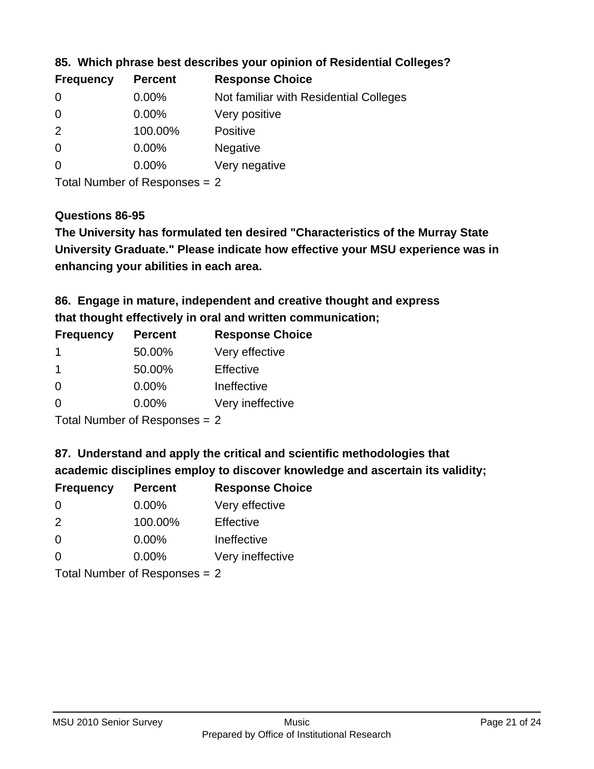| <b>Frequency</b> | <b>Percent</b> | <b>Response Choice</b>                 |
|------------------|----------------|----------------------------------------|
| 0                | $0.00\%$       | Not familiar with Residential Colleges |
| $\overline{0}$   | $0.00\%$       | Very positive                          |
| $\overline{2}$   | 100.00%        | <b>Positive</b>                        |
| $\overline{0}$   | $0.00\%$       | <b>Negative</b>                        |
| $\overline{0}$   | $0.00\%$       | Very negative                          |
|                  |                |                                        |

**85. Which phrase best describes your opinion of Residential Colleges?**

Total Number of Responses = 2

### **Questions 86-95**

**University Graduate." Please indicate how effective your MSU experience was in The University has formulated ten desired "Characteristics of the Murray State enhancing your abilities in each area.**

**86. Engage in mature, independent and creative thought and express that thought effectively in oral and written communication;**

| <b>Frequency</b> | <b>Percent</b> | <b>Response Choice</b> |
|------------------|----------------|------------------------|
|                  | 50.00%         | Very effective         |
|                  | 50.00%         | Effective              |
| $\Omega$         | $0.00\%$       | Ineffective            |
| O                | $0.00\%$       | Very ineffective       |

Total Number of Responses = 2

**87. Understand and apply the critical and scientific methodologies that** 

**academic disciplines employ to discover knowledge and ascertain its validity;**

| <b>Frequency</b> | <b>Percent</b>                                                                                                 | <b>Response Choice</b> |
|------------------|----------------------------------------------------------------------------------------------------------------|------------------------|
| $\Omega$         | 0.00%                                                                                                          | Very effective         |
| 2                | 100.00%                                                                                                        | Effective              |
| $\Omega$         | 0.00%                                                                                                          | Ineffective            |
| $\Omega$         | 0.00%                                                                                                          | Very ineffective       |
|                  | The INDIAN Contract Contract in the Contract of Contract of Contract of Contract of Contract of Contract of Co |                        |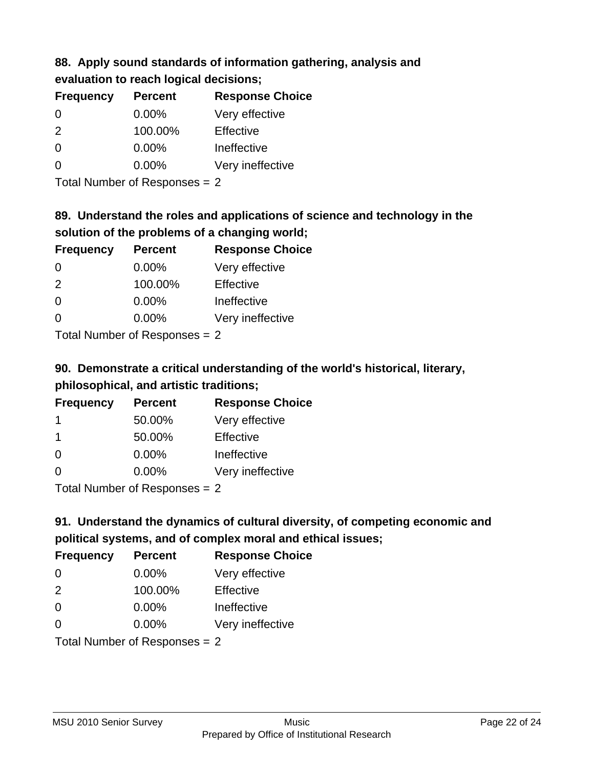### **88. Apply sound standards of information gathering, analysis and evaluation to reach logical decisions;**

| <b>Frequency</b> | <b>Percent</b> | <b>Response Choice</b> |  |
|------------------|----------------|------------------------|--|
| 0                | 0.00%          | Very effective         |  |
| 2                | 100.00%        | Effective              |  |
| $\overline{0}$   | 0.00%          | Ineffective            |  |
| $\overline{0}$   | 0.00%          | Very ineffective       |  |

Total Number of Responses = 2

# **89. Understand the roles and applications of science and technology in the solution of the problems of a changing world;**

| <b>Frequency</b>            | <b>Percent</b> | <b>Response Choice</b> |
|-----------------------------|----------------|------------------------|
| $\Omega$                    | 0.00%          | Very effective         |
| $\mathcal{P}$               | 100.00%        | Effective              |
| $\Omega$                    | $0.00\%$       | Ineffective            |
| $\Omega$                    | 0.00%          | Very ineffective       |
| Tatal Manualan af Dannannan |                |                        |

Total Number of Responses = 2

# **90. Demonstrate a critical understanding of the world's historical, literary, philosophical, and artistic traditions;**

| <b>Frequency</b> | <b>Percent</b> | <b>Response Choice</b> |
|------------------|----------------|------------------------|
|                  | 50.00%         | Very effective         |
| -1               | 50.00%         | Effective              |
| $\Omega$         | 0.00%          | Ineffective            |
| ∩                | 0.00%          | Very ineffective       |
|                  |                |                        |

Total Number of Responses = 2

# **91. Understand the dynamics of cultural diversity, of competing economic and political systems, and of complex moral and ethical issues;**

| <b>Frequency</b> | <b>Percent</b>                | <b>Response Choice</b> |
|------------------|-------------------------------|------------------------|
| $\Omega$         | $0.00\%$                      | Very effective         |
| 2                | 100.00%                       | Effective              |
| $\Omega$         | $0.00\%$                      | Ineffective            |
| $\Omega$         | $0.00\%$                      | Very ineffective       |
|                  | Total Number of Responses = 2 |                        |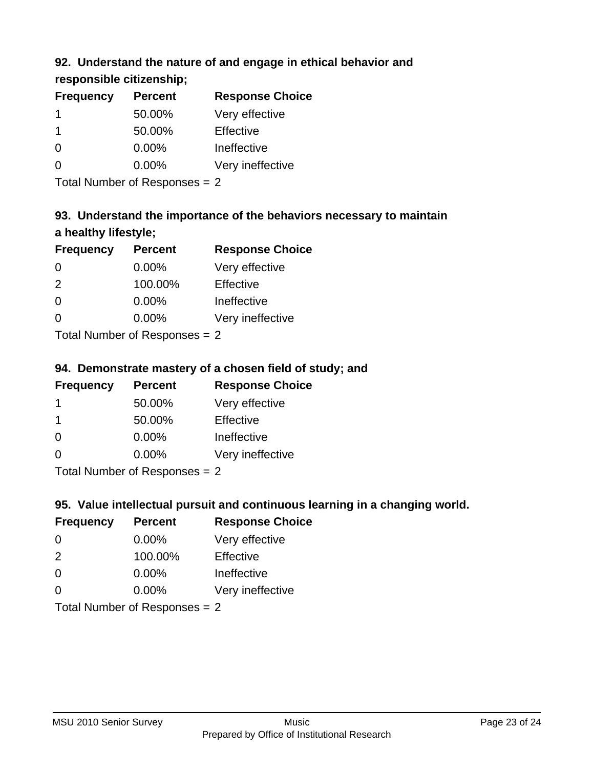## **92. Understand the nature of and engage in ethical behavior and**

## **responsible citizenship;**

| <b>Percent</b> | <b>Response Choice</b> |
|----------------|------------------------|
| 50.00%         | Very effective         |
| 50.00%         | Effective              |
| 0.00%          | Ineffective            |
| $0.00\%$       | Very ineffective       |
|                |                        |

Total Number of Responses = 2

# **93. Understand the importance of the behaviors necessary to maintain a healthy lifestyle;**

| <b>Frequency</b> | <b>Percent</b>                 | <b>Response Choice</b> |
|------------------|--------------------------------|------------------------|
| $\Omega$         | $0.00\%$                       | Very effective         |
| $\mathcal{P}$    | 100.00%                        | Effective              |
| $\Omega$         | 0.00%                          | Ineffective            |
| $\Omega$         | 0.00%                          | Very ineffective       |
|                  | Tatal Manufacture Construction |                        |

Total Number of Responses = 2

## **94. Demonstrate mastery of a chosen field of study; and**

| <b>Frequency</b> | <b>Percent</b> | <b>Response Choice</b> |
|------------------|----------------|------------------------|
|                  | 50.00%         | Very effective         |
|                  | 50.00%         | Effective              |
| $\Omega$         | $0.00\%$       | Ineffective            |
| $\Omega$         | $0.00\%$       | Very ineffective       |
|                  |                |                        |

Total Number of Responses = 2

## **95. Value intellectual pursuit and continuous learning in a changing world.**

| <b>Frequency</b>               | <b>Percent</b> | <b>Response Choice</b> |
|--------------------------------|----------------|------------------------|
| $\Omega$                       | 0.00%          | Very effective         |
| $\mathcal{P}$                  | 100.00%        | Effective              |
| $\Omega$                       | 0.00%          | Ineffective            |
| $\Omega$                       | 0.00%          | Very ineffective       |
| $Total Number of Denonone = 2$ |                |                        |